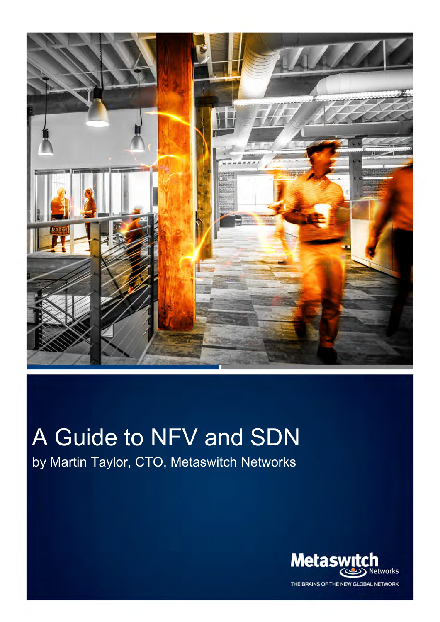

WWW.METASWITCH.COM © 2014 METASWITCH.COM © 2014 METASWITCH.COM © 2014 METASWITCH NETWORKS. ALL RIGHTS RESERVED. Pag

# A Guide to NFV and SDN

by Martin Taylor, CTO, Metaswitch Networks



THE BRAINS OF THE NEW GLOBAL NETWORK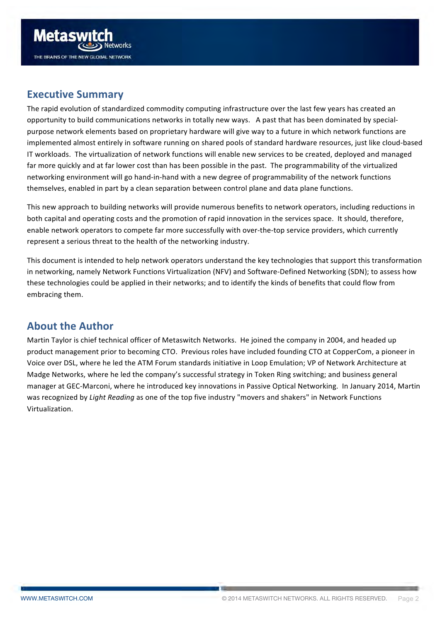<span id="page-1-0"></span>

# **Executive Summary**

The rapid evolution of standardized commodity computing infrastructure over the last few years has created an opportunity to build communications networks in totally new ways. A past that has been dominated by specialpurpose network elements based on proprietary hardware will give way to a future in which network functions are implemented almost entirely in software running on shared pools of standard hardware resources, just like cloud-based IT workloads. The virtualization of network functions will enable new services to be created, deployed and managed far more quickly and at far lower cost than has been possible in the past. The programmability of the virtualized networking environment will go hand-in-hand with a new degree of programmability of the network functions themselves, enabled in part by a clean separation between control plane and data plane functions.

This new approach to building networks will provide numerous benefits to network operators, including reductions in both capital and operating costs and the promotion of rapid innovation in the services space. It should, therefore, enable network operators to compete far more successfully with over-the-top service providers, which currently represent a serious threat to the health of the networking industry.

This document is intended to help network operators understand the key technologies that support this transformation in networking, namely Network Functions Virtualization (NFV) and Software-Defined Networking (SDN); to assess how these technologies could be applied in their networks; and to identify the kinds of benefits that could flow from embracing them.

# **About the Author**

Martin Taylor is chief technical officer of Metaswitch Networks. He joined the company in 2004, and headed up product management prior to becoming CTO. Previous roles have included founding CTO at CopperCom, a pioneer in Voice over DSL, where he led the ATM Forum standards initiative in Loop Emulation; VP of Network Architecture at Madge Networks, where he led the company's successful strategy in Token Ring switching; and business general manager at GEC-Marconi, where he introduced key innovations in Passive Optical Networking. In January 2014, Martin was recognized by *Light Reading* as one of the top five industry "movers and shakers" in Network Functions Virtualization.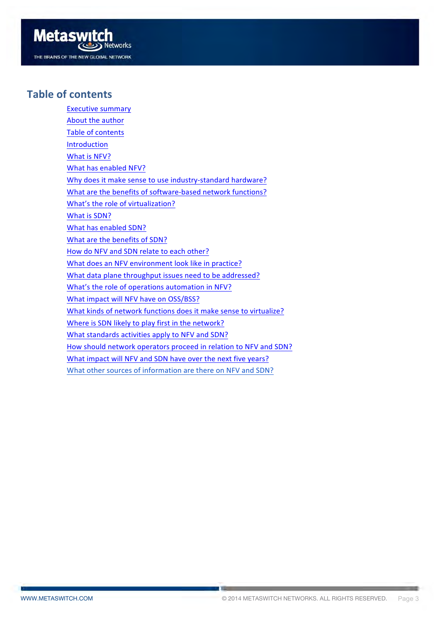

#### **Table of contents**

Executive summary About the author Table of contents [Introduction](#page-3-0) What is NFV? What has enabled NFV? Why does it make sense to use industry-standard hardware? What are the benefits of software-based network functions? What's the role of virtualization? What is SDN? What has enabled SDN? What are the benefits of SDN? How do NFV and SDN relate to each other? What does an NFV environment look like in practice? What data plane throughput issues need to be addressed? What's the role of operations automation in NFV? What impact will NFV have on OSS/BSS? What kinds of network functions does it make sense to virtualize? Where is SDN likely to play first in the network? What standards activities apply to NFV and SDN? How should network operators proceed in relation to NFV and SDN? What impact will NFV and SDN have over the next five years? What other sources of information are there on NFV and SDN?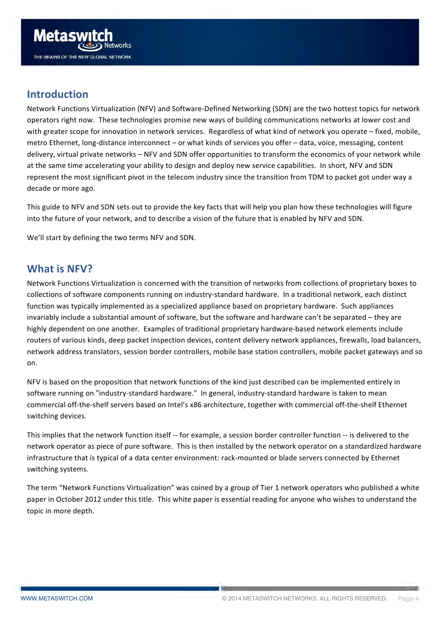<span id="page-3-0"></span>

#### **Introduction**

Network Functions Virtualization (NFV) and Software-Defined Networking (SDN) are the two hottest topics for network operators right now. These technologies promise new ways of building communications networks at lower cost and with greater scope for innovation in network services. Regardless of what kind of network you operate – fixed, mobile, metro Ethernet, long-distance interconnect – or what kinds of services you offer – data, voice, messaging, content delivery, virtual private networks - NFV and SDN offer opportunities to transform the economics of your network while at the same time accelerating your ability to design and deploy new service capabilities. In short, NFV and SDN represent the most significant pivot in the telecom industry since the transition from TDM to packet got under way a decade or more ago.

This guide to NFV and SDN sets out to provide the key facts that will help you plan how these technologies will figure into the future of your network, and to describe a vision of the future that is enabled by NFV and SDN.

We'll start by defining the two terms NFV and SDN.

#### **What is NFV?**

Network Functions Virtualization is concerned with the transition of networks from collections of proprietary boxes to collections of software components running on industry-standard hardware. In a traditional network, each distinct function was typically implemented as a specialized appliance based on proprietary hardware. Such appliances invariably include a substantial amount of software, but the software and hardware can't be separated – they are highly dependent on one another. Examples of traditional proprietary hardware-based network elements include routers of various kinds, deep packet inspection devices, content delivery network appliances, firewalls, load balancers, network address translators, session border controllers, mobile base station controllers, mobile packet gateways and so on.

NFV is based on the proposition that network functions of the kind just described can be implemented entirely in software running on "industry-standard hardware." In general, industry-standard hardware is taken to mean commercial off-the-shelf servers based on Intel's x86 architecture, together with commercial off-the-shelf Ethernet switching devices.

This implies that the network function itself -- for example, a session border controller function -- is delivered to the network operator as piece of pure software. This is then installed by the network operator on a standardized hardware infrastructure that is typical of a data center environment: rack-mounted or blade servers connected by Ethernet switching systems.

The term "Network Functions Virtualization" was coined by a group of Tier 1 network operators who published a white paper in October 2012 under this title. This white paper is essential reading for anyone who wishes to understand the topic in more depth.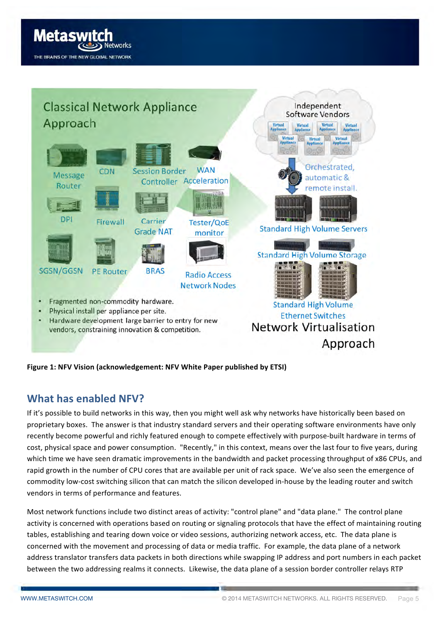<span id="page-4-0"></span>



**Figure 1: NFV Vision (acknowledgement: NFV White Paper published by ETSI)** 

# **What has enabled NFV?**

If it's possible to build networks in this way, then you might well ask why networks have historically been based on proprietary boxes. The answer is that industry standard servers and their operating software environments have only recently become powerful and richly featured enough to compete effectively with purpose-built hardware in terms of cost, physical space and power consumption. "Recently," in this context, means over the last four to five years, during which time we have seen dramatic improvements in the bandwidth and packet processing throughput of x86 CPUs, and rapid growth in the number of CPU cores that are available per unit of rack space. We've also seen the emergence of commodity low-cost switching silicon that can match the silicon developed in-house by the leading router and switch vendors in terms of performance and features.

Most network functions include two distinct areas of activity: "control plane" and "data plane." The control plane activity is concerned with operations based on routing or signaling protocols that have the effect of maintaining routing tables, establishing and tearing down voice or video sessions, authorizing network access, etc. The data plane is concerned with the movement and processing of data or media traffic. For example, the data plane of a network address translator transfers data packets in both directions while swapping IP address and port numbers in each packet between the two addressing realms it connects. Likewise, the data plane of a session border controller relays RTP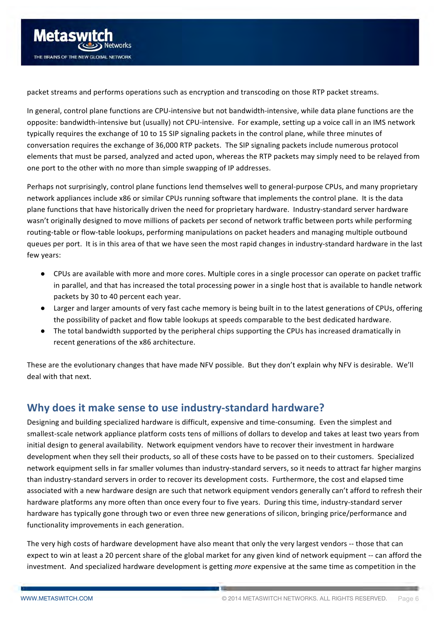<span id="page-5-0"></span>

packet streams and performs operations such as encryption and transcoding on those RTP packet streams.

In general, control plane functions are CPU-intensive but not bandwidth-intensive, while data plane functions are the opposite: bandwidth-intensive but (usually) not CPU-intensive. For example, setting up a voice call in an IMS network typically requires the exchange of 10 to 15 SIP signaling packets in the control plane, while three minutes of conversation requires the exchange of 36,000 RTP packets. The SIP signaling packets include numerous protocol elements that must be parsed, analyzed and acted upon, whereas the RTP packets may simply need to be relayed from one port to the other with no more than simple swapping of IP addresses.

Perhaps not surprisingly, control plane functions lend themselves well to general-purpose CPUs, and many proprietary network appliances include x86 or similar CPUs running software that implements the control plane. It is the data plane functions that have historically driven the need for proprietary hardware. Industry-standard server hardware wasn't originally designed to move millions of packets per second of network traffic between ports while performing routing-table or flow-table lookups, performing manipulations on packet headers and managing multiple outbound queues per port. It is in this area of that we have seen the most rapid changes in industry-standard hardware in the last few years:

- CPUs are available with more and more cores. Multiple cores in a single processor can operate on packet traffic in parallel, and that has increased the total processing power in a single host that is available to handle network packets by 30 to 40 percent each year.
- Larger and larger amounts of very fast cache memory is being built in to the latest generations of CPUs, offering the possibility of packet and flow table lookups at speeds comparable to the best dedicated hardware.
- The total bandwidth supported by the peripheral chips supporting the CPUs has increased dramatically in recent generations of the x86 architecture.

These are the evolutionary changes that have made NFV possible. But they don't explain why NFV is desirable. We'll deal with that next.

# **Why does it make sense to use industry-standard hardware?**

Designing and building specialized hardware is difficult, expensive and time-consuming. Even the simplest and smallest-scale network appliance platform costs tens of millions of dollars to develop and takes at least two years from initial design to general availability. Network equipment vendors have to recover their investment in hardware development when they sell their products, so all of these costs have to be passed on to their customers. Specialized network equipment sells in far smaller volumes than industry-standard servers, so it needs to attract far higher margins than industry-standard servers in order to recover its development costs. Furthermore, the cost and elapsed time associated with a new hardware design are such that network equipment vendors generally can't afford to refresh their hardware platforms any more often than once every four to five years. During this time, industry-standard server hardware has typically gone through two or even three new generations of silicon, bringing price/performance and functionality improvements in each generation.

The very high costs of hardware development have also meant that only the very largest vendors -- those that can expect to win at least a 20 percent share of the global market for any given kind of network equipment -- can afford the investment. And specialized hardware development is getting *more* expensive at the same time as competition in the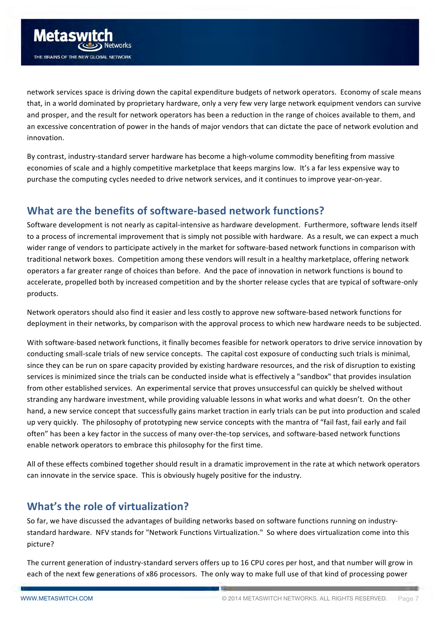<span id="page-6-0"></span>network services space is driving down the capital expenditure budgets of network operators. Economy of scale means that, in a world dominated by proprietary hardware, only a very few very large network equipment vendors can survive and prosper, and the result for network operators has been a reduction in the range of choices available to them, and an excessive concentration of power in the hands of major vendors that can dictate the pace of network evolution and innovation.

By contrast, industry-standard server hardware has become a high-volume commodity benefiting from massive economies of scale and a highly competitive marketplace that keeps margins low. It's a far less expensive way to purchase the computing cycles needed to drive network services, and it continues to improve year-on-year.

# **What are the benefits of software-based network functions?**

Software development is not nearly as capital-intensive as hardware development. Furthermore, software lends itself to a process of incremental improvement that is simply not possible with hardware. As a result, we can expect a much wider range of vendors to participate actively in the market for software-based network functions in comparison with traditional network boxes. Competition among these vendors will result in a healthy marketplace, offering network operators a far greater range of choices than before. And the pace of innovation in network functions is bound to accelerate, propelled both by increased competition and by the shorter release cycles that are typical of software-only products.

Network operators should also find it easier and less costly to approve new software-based network functions for deployment in their networks, by comparison with the approval process to which new hardware needs to be subjected.

With software-based network functions, it finally becomes feasible for network operators to drive service innovation by conducting small-scale trials of new service concepts. The capital cost exposure of conducting such trials is minimal, since they can be run on spare capacity provided by existing hardware resources, and the risk of disruption to existing services is minimized since the trials can be conducted inside what is effectively a "sandbox" that provides insulation from other established services. An experimental service that proves unsuccessful can quickly be shelved without stranding any hardware investment, while providing valuable lessons in what works and what doesn't. On the other hand, a new service concept that successfully gains market traction in early trials can be put into production and scaled up very quickly. The philosophy of prototyping new service concepts with the mantra of "fail fast, fail early and fail often" has been a key factor in the success of many over-the-top services, and software-based network functions enable network operators to embrace this philosophy for the first time.

All of these effects combined together should result in a dramatic improvement in the rate at which network operators can innovate in the service space. This is obviously hugely positive for the industry.

# **What's the role of virtualization?**

So far, we have discussed the advantages of building networks based on software functions running on industrystandard hardware. NFV stands for "Network Functions Virtualization." So where does virtualization come into this picture?

The current generation of industry-standard servers offers up to 16 CPU cores per host, and that number will grow in each of the next few generations of x86 processors. The only way to make full use of that kind of processing power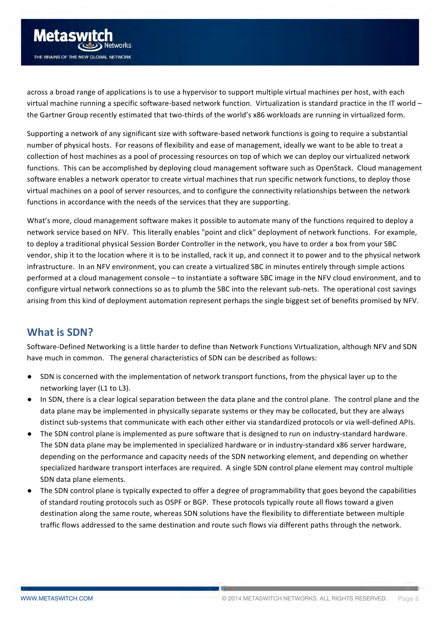<span id="page-7-0"></span>

across a broad range of applications is to use a hypervisor to support multiple virtual machines per host, with each virtual machine running a specific software-based network function. Virtualization is standard practice in the IT world – the Gartner Group recently estimated that two-thirds of the world's x86 workloads are running in virtualized form.

Supporting a network of any significant size with software-based network functions is going to require a substantial number of physical hosts. For reasons of flexibility and ease of management, ideally we want to be able to treat a collection of host machines as a pool of processing resources on top of which we can deploy our virtualized network functions. This can be accomplished by deploying cloud management software such as OpenStack. Cloud management software enables a network operator to create virtual machines that run specific network functions, to deploy those virtual machines on a pool of server resources, and to configure the connectivity relationships between the network functions in accordance with the needs of the services that they are supporting.

What's more, cloud management software makes it possible to automate many of the functions required to deploy a network service based on NFV. This literally enables "point and click" deployment of network functions. For example, to deploy a traditional physical Session Border Controller in the network, you have to order a box from your SBC vendor, ship it to the location where it is to be installed, rack it up, and connect it to power and to the physical network infrastructure. In an NFV environment, you can create a virtualized SBC in minutes entirely through simple actions performed at a cloud management console – to instantiate a software SBC image in the NFV cloud environment, and to configure virtual network connections so as to plumb the SBC into the relevant sub-nets. The operational cost savings arising from this kind of deployment automation represent perhaps the single biggest set of benefits promised by NFV.

# **What is SDN?**

Software-Defined Networking is a little harder to define than Network Functions Virtualization, although NFV and SDN have much in common. The general characteristics of SDN can be described as follows:

- SDN is concerned with the implementation of network transport functions, from the physical layer up to the networking layer (L1 to L3).
- In SDN, there is a clear logical separation between the data plane and the control plane. The control plane and the data plane may be implemented in physically separate systems or they may be collocated, but they are always distinct sub-systems that communicate with each other either via standardized protocols or via well-defined APIs.
- The SDN control plane is implemented as pure software that is designed to run on industry-standard hardware. The SDN data plane may be implemented in specialized hardware or in industry-standard x86 server hardware, depending on the performance and capacity needs of the SDN networking element, and depending on whether specialized hardware transport interfaces are required. A single SDN control plane element may control multiple SDN data plane elements.
- The SDN control plane is typically expected to offer a degree of programmability that goes beyond the capabilities of standard routing protocols such as OSPF or BGP. These protocols typically route all flows toward a given destination along the same route, whereas SDN solutions have the flexibility to differentiate between multiple traffic flows addressed to the same destination and route such flows via different paths through the network.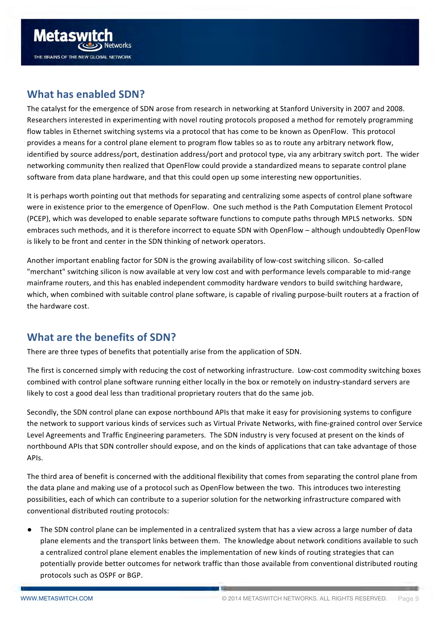<span id="page-8-0"></span>

# **What has enabled SDN?**

The catalyst for the emergence of SDN arose from research in networking at Stanford University in 2007 and 2008. Researchers interested in experimenting with novel routing protocols proposed a method for remotely programming flow tables in Ethernet switching systems via a protocol that has come to be known as OpenFlow. This protocol provides a means for a control plane element to program flow tables so as to route any arbitrary network flow, identified by source address/port, destination address/port and protocol type, via any arbitrary switch port. The wider networking community then realized that OpenFlow could provide a standardized means to separate control plane software from data plane hardware, and that this could open up some interesting new opportunities.

It is perhaps worth pointing out that methods for separating and centralizing some aspects of control plane software were in existence prior to the emergence of OpenFlow. One such method is the Path Computation Element Protocol (PCEP), which was developed to enable separate software functions to compute paths through MPLS networks. SDN embraces such methods, and it is therefore incorrect to equate SDN with OpenFlow - although undoubtedly OpenFlow is likely to be front and center in the SDN thinking of network operators.

Another important enabling factor for SDN is the growing availability of low-cost switching silicon. So-called "merchant" switching silicon is now available at very low cost and with performance levels comparable to mid-range mainframe routers, and this has enabled independent commodity hardware vendors to build switching hardware, which, when combined with suitable control plane software, is capable of rivaling purpose-built routers at a fraction of the hardware cost.

# **What are the benefits of SDN?**

There are three types of benefits that potentially arise from the application of SDN.

The first is concerned simply with reducing the cost of networking infrastructure. Low-cost commodity switching boxes combined with control plane software running either locally in the box or remotely on industry-standard servers are likely to cost a good deal less than traditional proprietary routers that do the same job.

Secondly, the SDN control plane can expose northbound APIs that make it easy for provisioning systems to configure the network to support various kinds of services such as Virtual Private Networks, with fine-grained control over Service Level Agreements and Traffic Engineering parameters. The SDN industry is very focused at present on the kinds of northbound APIs that SDN controller should expose, and on the kinds of applications that can take advantage of those APIs.

The third area of benefit is concerned with the additional flexibility that comes from separating the control plane from the data plane and making use of a protocol such as OpenFlow between the two. This introduces two interesting possibilities, each of which can contribute to a superior solution for the networking infrastructure compared with conventional distributed routing protocols:

The SDN control plane can be implemented in a centralized system that has a view across a large number of data plane elements and the transport links between them. The knowledge about network conditions available to such a centralized control plane element enables the implementation of new kinds of routing strategies that can potentially provide better outcomes for network traffic than those available from conventional distributed routing protocols such as OSPF or BGP.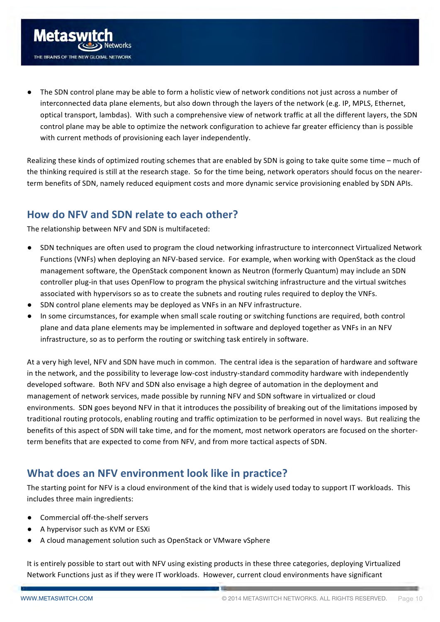<span id="page-9-0"></span>

The SDN control plane may be able to form a holistic view of network conditions not just across a number of interconnected data plane elements, but also down through the layers of the network (e.g. IP, MPLS, Ethernet, optical transport, lambdas). With such a comprehensive view of network traffic at all the different layers, the SDN control plane may be able to optimize the network configuration to achieve far greater efficiency than is possible with current methods of provisioning each layer independently.

Realizing these kinds of optimized routing schemes that are enabled by SDN is going to take quite some time – much of the thinking required is still at the research stage. So for the time being, network operators should focus on the nearerterm benefits of SDN, namely reduced equipment costs and more dynamic service provisioning enabled by SDN APIs.

# How do NFV and SDN relate to each other?

The relationship between NFV and SDN is multifaceted:

- SDN techniques are often used to program the cloud networking infrastructure to interconnect Virtualized Network Functions (VNFs) when deploying an NFV-based service. For example, when working with OpenStack as the cloud management software, the OpenStack component known as Neutron (formerly Quantum) may include an SDN controller plug-in that uses OpenFlow to program the physical switching infrastructure and the virtual switches associated with hypervisors so as to create the subnets and routing rules required to deploy the VNFs.
- SDN control plane elements may be deployed as VNFs in an NFV infrastructure.
- In some circumstances, for example when small scale routing or switching functions are required, both control plane and data plane elements may be implemented in software and deployed together as VNFs in an NFV infrastructure, so as to perform the routing or switching task entirely in software.

At a very high level. NFV and SDN have much in common. The central idea is the separation of hardware and software in the network, and the possibility to leverage low-cost industry-standard commodity hardware with independently developed software. Both NFV and SDN also envisage a high degree of automation in the deployment and management of network services, made possible by running NFV and SDN software in virtualized or cloud environments. SDN goes beyond NFV in that it introduces the possibility of breaking out of the limitations imposed by traditional routing protocols, enabling routing and traffic optimization to be performed in novel ways. But realizing the benefits of this aspect of SDN will take time, and for the moment, most network operators are focused on the shorterterm benefits that are expected to come from NFV, and from more tactical aspects of SDN.

# **What does an NFV environment look like in practice?**

The starting point for NFV is a cloud environment of the kind that is widely used today to support IT workloads. This includes three main ingredients:

- Commercial off-the-shelf servers
- A hypervisor such as KVM or ESXi
- A cloud management solution such as OpenStack or VMware vSphere

It is entirely possible to start out with NFV using existing products in these three categories, deploying Virtualized Network Functions just as if they were IT workloads. However, current cloud environments have significant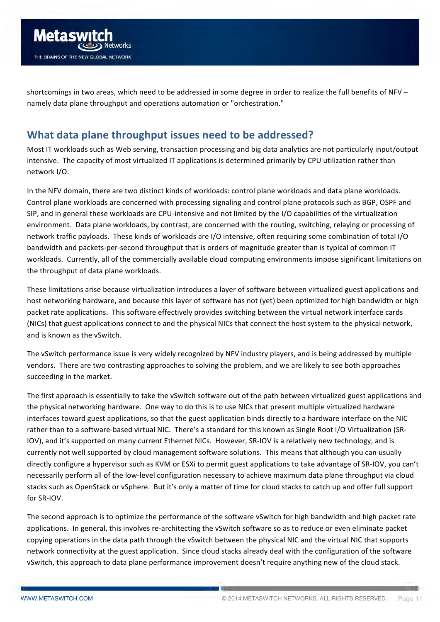<span id="page-10-0"></span>

shortcomings in two areas, which need to be addressed in some degree in order to realize the full benefits of NFV namely data plane throughput and operations automation or "orchestration."

# **What data plane throughput issues need to be addressed?**

Most IT workloads such as Web serving, transaction processing and big data analytics are not particularly input/output intensive. The capacity of most virtualized IT applications is determined primarily by CPU utilization rather than network I/O. 

In the NFV domain, there are two distinct kinds of workloads: control plane workloads and data plane workloads. Control plane workloads are concerned with processing signaling and control plane protocols such as BGP, OSPF and SIP, and in general these workloads are CPU-intensive and not limited by the I/O capabilities of the virtualization environment. Data plane workloads, by contrast, are concerned with the routing, switching, relaying or processing of network traffic payloads. These kinds of workloads are I/O intensive, often requiring some combination of total I/O bandwidth and packets-per-second throughput that is orders of magnitude greater than is typical of common IT workloads. Currently, all of the commercially available cloud computing environments impose significant limitations on the throughput of data plane workloads.

These limitations arise because virtualization introduces a layer of software between virtualized guest applications and host networking hardware, and because this layer of software has not (yet) been optimized for high bandwidth or high packet rate applications. This software effectively provides switching between the virtual network interface cards (NICs) that guest applications connect to and the physical NICs that connect the host system to the physical network, and is known as the vSwitch.

The vSwitch performance issue is very widely recognized by NFV industry players, and is being addressed by multiple vendors. There are two contrasting approaches to solving the problem, and we are likely to see both approaches succeeding in the market.

The first approach is essentially to take the vSwitch software out of the path between virtualized guest applications and the physical networking hardware. One way to do this is to use NICs that present multiple virtualized hardware interfaces toward guest applications, so that the guest application binds directly to a hardware interface on the NIC rather than to a software-based virtual NIC. There's a standard for this known as Single Root I/O Virtualization (SR-IOV), and it's supported on many current Ethernet NICs. However, SR-IOV is a relatively new technology, and is currently not well supported by cloud management software solutions. This means that although you can usually directly configure a hypervisor such as KVM or ESXi to permit guest applications to take advantage of SR-IOV, you can't necessarily perform all of the low-level configuration necessary to achieve maximum data plane throughput via cloud stacks such as OpenStack or vSphere. But it's only a matter of time for cloud stacks to catch up and offer full support for SR-IOV.

The second approach is to optimize the performance of the software vSwitch for high bandwidth and high packet rate applications. In general, this involves re-architecting the vSwitch software so as to reduce or even eliminate packet copying operations in the data path through the vSwitch between the physical NIC and the virtual NIC that supports network connectivity at the guest application. Since cloud stacks already deal with the configuration of the software vSwitch, this approach to data plane performance improvement doesn't require anything new of the cloud stack.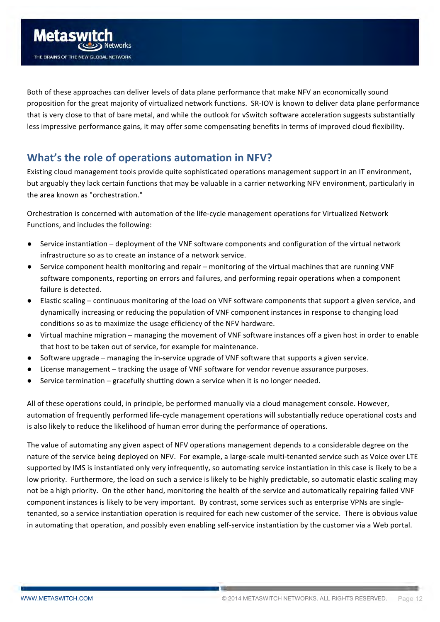<span id="page-11-0"></span>

Both of these approaches can deliver levels of data plane performance that make NFV an economically sound proposition for the great majority of virtualized network functions. SR-IOV is known to deliver data plane performance that is very close to that of bare metal, and while the outlook for vSwitch software acceleration suggests substantially less impressive performance gains, it may offer some compensating benefits in terms of improved cloud flexibility.

# **What's the role of operations automation in NFV?**

Existing cloud management tools provide quite sophisticated operations management support in an IT environment, but arguably they lack certain functions that may be valuable in a carrier networking NFV environment, particularly in the area known as "orchestration."

Orchestration is concerned with automation of the life-cycle management operations for Virtualized Network Functions, and includes the following:

- Service instantiation deployment of the VNF software components and configuration of the virtual network infrastructure so as to create an instance of a network service.
- Service component health monitoring and repair monitoring of the virtual machines that are running VNF software components, reporting on errors and failures, and performing repair operations when a component failure is detected.
- Elastic scaling continuous monitoring of the load on VNF software components that support a given service, and dynamically increasing or reducing the population of VNF component instances in response to changing load conditions so as to maximize the usage efficiency of the NFV hardware.
- Virtual machine migration managing the movement of VNF software instances off a given host in order to enable that host to be taken out of service, for example for maintenance.
- Software upgrade managing the in-service upgrade of VNF software that supports a given service.
- License management tracking the usage of VNF software for vendor revenue assurance purposes.
- Service termination  $-$  gracefully shutting down a service when it is no longer needed.

All of these operations could, in principle, be performed manually via a cloud management console. However, automation of frequently performed life-cycle management operations will substantially reduce operational costs and is also likely to reduce the likelihood of human error during the performance of operations.

The value of automating any given aspect of NFV operations management depends to a considerable degree on the nature of the service being deployed on NFV. For example, a large-scale multi-tenanted service such as Voice over LTE supported by IMS is instantiated only very infrequently, so automating service instantiation in this case is likely to be a low priority. Furthermore, the load on such a service is likely to be highly predictable, so automatic elastic scaling may not be a high priority. On the other hand, monitoring the health of the service and automatically repairing failed VNF component instances is likely to be very important. By contrast, some services such as enterprise VPNs are singletenanted, so a service instantiation operation is required for each new customer of the service. There is obvious value in automating that operation, and possibly even enabling self-service instantiation by the customer via a Web portal.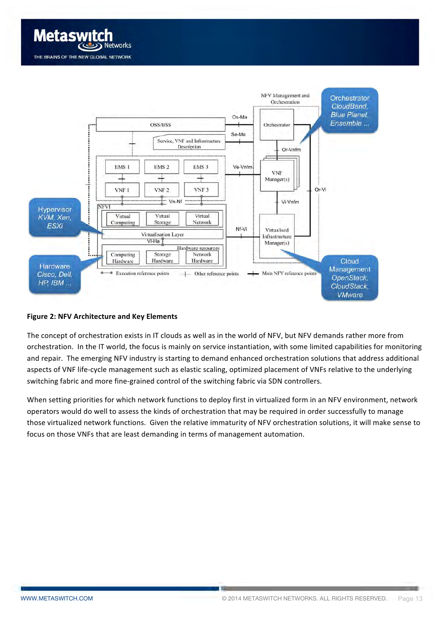



#### **Figure 2: NFV Architecture and Key Elements**

The concept of orchestration exists in IT clouds as well as in the world of NFV, but NFV demands rather more from orchestration. In the IT world, the focus is mainly on service instantiation, with some limited capabilities for monitoring and repair. The emerging NFV industry is starting to demand enhanced orchestration solutions that address additional aspects of VNF life-cycle management such as elastic scaling, optimized placement of VNFs relative to the underlying switching fabric and more fine-grained control of the switching fabric via SDN controllers.

When setting priorities for which network functions to deploy first in virtualized form in an NFV environment, network operators would do well to assess the kinds of orchestration that may be required in order successfully to manage those virtualized network functions. Given the relative immaturity of NFV orchestration solutions, it will make sense to focus on those VNFs that are least demanding in terms of management automation.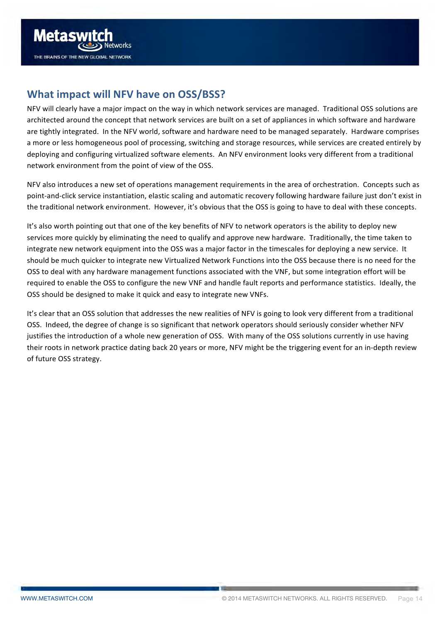<span id="page-13-0"></span>

# **What impact will NFV have on OSS/BSS?**

NFV will clearly have a major impact on the way in which network services are managed. Traditional OSS solutions are architected around the concept that network services are built on a set of appliances in which software and hardware are tightly integrated. In the NFV world, software and hardware need to be managed separately. Hardware comprises a more or less homogeneous pool of processing, switching and storage resources, while services are created entirely by deploying and configuring virtualized software elements. An NFV environment looks very different from a traditional network environment from the point of view of the OSS.

NFV also introduces a new set of operations management requirements in the area of orchestration. Concepts such as point-and-click service instantiation, elastic scaling and automatic recovery following hardware failure just don't exist in the traditional network environment. However, it's obvious that the OSS is going to have to deal with these concepts.

It's also worth pointing out that one of the key benefits of NFV to network operators is the ability to deploy new services more quickly by eliminating the need to qualify and approve new hardware. Traditionally, the time taken to integrate new network equipment into the OSS was a major factor in the timescales for deploying a new service. It should be much quicker to integrate new Virtualized Network Functions into the OSS because there is no need for the OSS to deal with any hardware management functions associated with the VNF, but some integration effort will be required to enable the OSS to configure the new VNF and handle fault reports and performance statistics. Ideally, the OSS should be designed to make it quick and easy to integrate new VNFs.

It's clear that an OSS solution that addresses the new realities of NFV is going to look very different from a traditional OSS. Indeed, the degree of change is so significant that network operators should seriously consider whether NFV justifies the introduction of a whole new generation of OSS. With many of the OSS solutions currently in use having their roots in network practice dating back 20 years or more, NFV might be the triggering event for an in-depth review of future OSS strategy.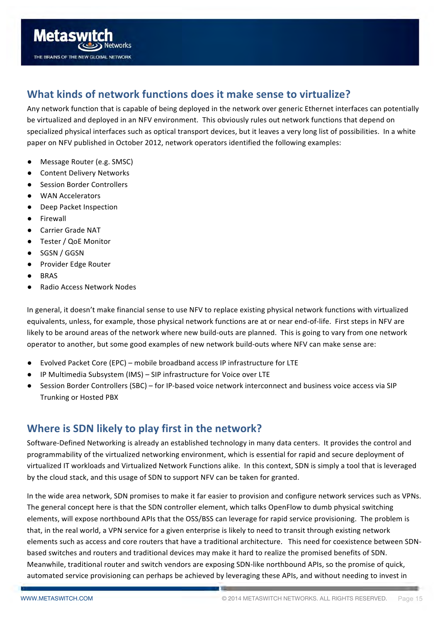<span id="page-14-0"></span>

# **What kinds of network functions does it make sense to virtualize?**

Any network function that is capable of being deployed in the network over generic Ethernet interfaces can potentially be virtualized and deployed in an NFV environment. This obviously rules out network functions that depend on specialized physical interfaces such as optical transport devices, but it leaves a very long list of possibilities. In a white paper on NFV published in October 2012, network operators identified the following examples:

- Message Router (e.g. SMSC)
- **Content Delivery Networks**
- **Session Border Controllers**
- WAN Accelerators
- Deep Packet Inspection
- Firewall
- Carrier Grade NAT
- Tester / QoE Monitor
- SGSN / GGSN
- Provider Edge Router
- **BRAS**
- **Radio Access Network Nodes**

In general, it doesn't make financial sense to use NFV to replace existing physical network functions with virtualized equivalents, unless, for example, those physical network functions are at or near end-of-life. First steps in NFV are likely to be around areas of the network where new build-outs are planned. This is going to vary from one network operator to another, but some good examples of new network build-outs where NFV can make sense are:

- Evolved Packet Core (EPC) mobile broadband access IP infrastructure for LTE
- IP Multimedia Subsystem (IMS) SIP infrastructure for Voice over LTE
- Session Border Controllers (SBC) for IP-based voice network interconnect and business voice access via SIP **Trunking or Hosted PBX**

# **Where is SDN likely to play first in the network?**

Software-Defined Networking is already an established technology in many data centers. It provides the control and programmability of the virtualized networking environment, which is essential for rapid and secure deployment of virtualized IT workloads and Virtualized Network Functions alike. In this context, SDN is simply a tool that is leveraged by the cloud stack, and this usage of SDN to support NFV can be taken for granted.

In the wide area network, SDN promises to make it far easier to provision and configure network services such as VPNs. The general concept here is that the SDN controller element, which talks OpenFlow to dumb physical switching elements, will expose northbound APIs that the OSS/BSS can leverage for rapid service provisioning. The problem is that, in the real world, a VPN service for a given enterprise is likely to need to transit through existing network elements such as access and core routers that have a traditional architecture. This need for coexistence between SDNbased switches and routers and traditional devices may make it hard to realize the promised benefits of SDN. Meanwhile, traditional router and switch vendors are exposing SDN-like northbound APIs, so the promise of quick, automated service provisioning can perhaps be achieved by leveraging these APIs, and without needing to invest in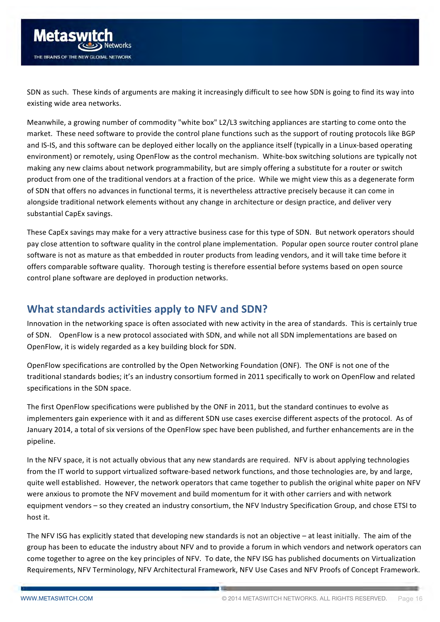<span id="page-15-0"></span>SDN as such. These kinds of arguments are making it increasingly difficult to see how SDN is going to find its way into existing wide area networks.

Meanwhile, a growing number of commodity "white box" L2/L3 switching appliances are starting to come onto the market. These need software to provide the control plane functions such as the support of routing protocols like BGP and IS-IS, and this software can be deployed either locally on the appliance itself (typically in a Linux-based operating environment) or remotely, using OpenFlow as the control mechanism. White-box switching solutions are typically not making any new claims about network programmability, but are simply offering a substitute for a router or switch product from one of the traditional vendors at a fraction of the price. While we might view this as a degenerate form of SDN that offers no advances in functional terms, it is nevertheless attractive precisely because it can come in alongside traditional network elements without any change in architecture or design practice, and deliver very substantial CapEx savings.

These CapEx savings may make for a very attractive business case for this type of SDN. But network operators should pay close attention to software quality in the control plane implementation. Popular open source router control plane software is not as mature as that embedded in router products from leading vendors, and it will take time before it offers comparable software quality. Thorough testing is therefore essential before systems based on open source control plane software are deployed in production networks.

#### **What standards activities apply to NFV and SDN?**

Innovation in the networking space is often associated with new activity in the area of standards. This is certainly true of SDN. OpenFlow is a new protocol associated with SDN, and while not all SDN implementations are based on OpenFlow, it is widely regarded as a key building block for SDN.

OpenFlow specifications are controlled by the Open Networking Foundation (ONF). The ONF is not one of the traditional standards bodies; it's an industry consortium formed in 2011 specifically to work on OpenFlow and related specifications in the SDN space.

The first OpenFlow specifications were published by the ONF in 2011, but the standard continues to evolve as implementers gain experience with it and as different SDN use cases exercise different aspects of the protocol. As of January 2014, a total of six versions of the OpenFlow spec have been published, and further enhancements are in the pipeline.

In the NFV space, it is not actually obvious that any new standards are required. NFV is about applying technologies from the IT world to support virtualized software-based network functions, and those technologies are, by and large, quite well established. However, the network operators that came together to publish the original white paper on NFV were anxious to promote the NFV movement and build momentum for it with other carriers and with network equipment vendors – so they created an industry consortium, the NFV Industry Specification Group, and chose ETSI to host it.

The NFV ISG has explicitly stated that developing new standards is not an objective  $-$  at least initially. The aim of the group has been to educate the industry about NFV and to provide a forum in which vendors and network operators can come together to agree on the key principles of NFV. To date, the NFV ISG has published documents on Virtualization Requirements, NFV Terminology, NFV Architectural Framework, NFV Use Cases and NFV Proofs of Concept Framework.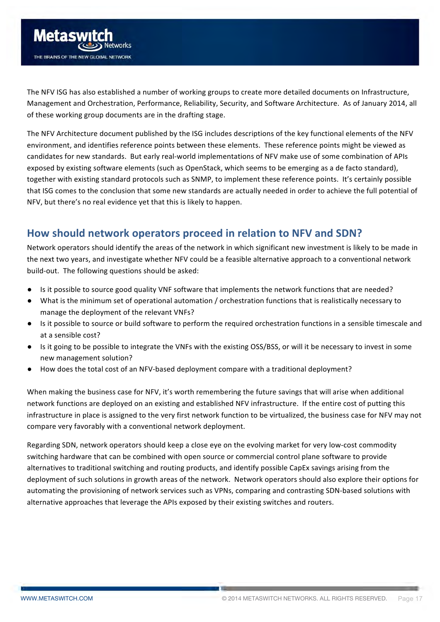<span id="page-16-0"></span>

The NFV ISG has also established a number of working groups to create more detailed documents on Infrastructure, Management and Orchestration, Performance, Reliability, Security, and Software Architecture. As of January 2014, all of these working group documents are in the drafting stage.

The NFV Architecture document published by the ISG includes descriptions of the key functional elements of the NFV environment, and identifies reference points between these elements. These reference points might be viewed as candidates for new standards. But early real-world implementations of NFV make use of some combination of APIs exposed by existing software elements (such as OpenStack, which seems to be emerging as a de facto standard), together with existing standard protocols such as SNMP, to implement these reference points. It's certainly possible that ISG comes to the conclusion that some new standards are actually needed in order to achieve the full potential of NFV, but there's no real evidence yet that this is likely to happen.

# How should network operators proceed in relation to NFV and SDN?

Network operators should identify the areas of the network in which significant new investment is likely to be made in the next two years, and investigate whether NFV could be a feasible alternative approach to a conventional network build-out. The following questions should be asked:

- Is it possible to source good quality VNF software that implements the network functions that are needed?
- What is the minimum set of operational automation / orchestration functions that is realistically necessary to manage the deployment of the relevant VNFs?
- Is it possible to source or build software to perform the required orchestration functions in a sensible timescale and at a sensible cost?
- Is it going to be possible to integrate the VNFs with the existing OSS/BSS, or will it be necessary to invest in some new management solution?
- How does the total cost of an NFV-based deployment compare with a traditional deployment?

When making the business case for NFV, it's worth remembering the future savings that will arise when additional network functions are deployed on an existing and established NFV infrastructure. If the entire cost of putting this infrastructure in place is assigned to the very first network function to be virtualized, the business case for NFV may not compare very favorably with a conventional network deployment.

Regarding SDN, network operators should keep a close eye on the evolving market for very low-cost commodity switching hardware that can be combined with open source or commercial control plane software to provide alternatives to traditional switching and routing products, and identify possible CapEx savings arising from the deployment of such solutions in growth areas of the network. Network operators should also explore their options for automating the provisioning of network services such as VPNs, comparing and contrasting SDN-based solutions with alternative approaches that leverage the APIs exposed by their existing switches and routers.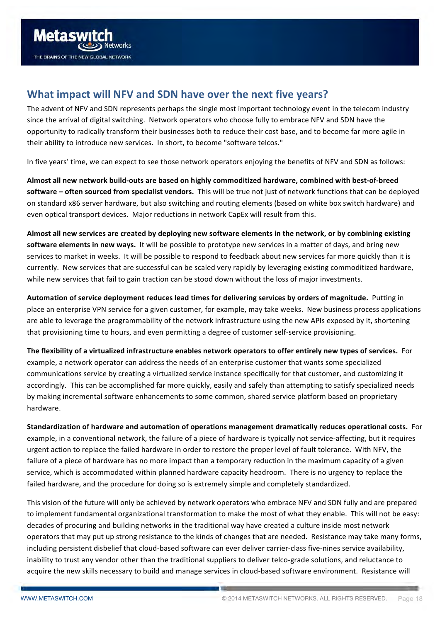<span id="page-17-0"></span>

# **What impact will NFV and SDN have over the next five years?**

The advent of NFV and SDN represents perhaps the single most important technology event in the telecom industry since the arrival of digital switching. Network operators who choose fully to embrace NFV and SDN have the opportunity to radically transform their businesses both to reduce their cost base, and to become far more agile in their ability to introduce new services. In short, to become "software telcos."

In five years' time, we can expect to see those network operators enjoying the benefits of NFV and SDN as follows:

Almost all new network build-outs are based on highly commoditized hardware, combined with best-of-breed **software** – often sourced from specialist vendors. This will be true not just of network functions that can be deployed on standard x86 server hardware, but also switching and routing elements (based on white box switch hardware) and even optical transport devices. Major reductions in network CapEx will result from this.

Almost all new services are created by deploying new software elements in the network, or by combining existing **software elements in new ways.** It will be possible to prototype new services in a matter of days, and bring new services to market in weeks. It will be possible to respond to feedback about new services far more quickly than it is currently. New services that are successful can be scaled very rapidly by leveraging existing commoditized hardware, while new services that fail to gain traction can be stood down without the loss of major investments.

**Automation of service deployment reduces lead times for delivering services by orders of magnitude.** Putting in place an enterprise VPN service for a given customer, for example, may take weeks. New business process applications are able to leverage the programmability of the network infrastructure using the new APIs exposed by it, shortening that provisioning time to hours, and even permitting a degree of customer self-service provisioning.

The flexibility of a virtualized infrastructure enables network operators to offer entirely new types of services. For example, a network operator can address the needs of an enterprise customer that wants some specialized communications service by creating a virtualized service instance specifically for that customer, and customizing it accordingly. This can be accomplished far more quickly, easily and safely than attempting to satisfy specialized needs by making incremental software enhancements to some common, shared service platform based on proprietary hardware. 

**Standardization of hardware and automation of operations management dramatically reduces operational costs.** For example, in a conventional network, the failure of a piece of hardware is typically not service-affecting, but it requires urgent action to replace the failed hardware in order to restore the proper level of fault tolerance. With NFV, the failure of a piece of hardware has no more impact than a temporary reduction in the maximum capacity of a given service, which is accommodated within planned hardware capacity headroom. There is no urgency to replace the failed hardware, and the procedure for doing so is extremely simple and completely standardized.

This vision of the future will only be achieved by network operators who embrace NFV and SDN fully and are prepared to implement fundamental organizational transformation to make the most of what they enable. This will not be easy: decades of procuring and building networks in the traditional way have created a culture inside most network operators that may put up strong resistance to the kinds of changes that are needed. Resistance may take many forms, including persistent disbelief that cloud-based software can ever deliver carrier-class five-nines service availability, inability to trust any vendor other than the traditional suppliers to deliver telco-grade solutions, and reluctance to acquire the new skills necessary to build and manage services in cloud-based software environment. Resistance will